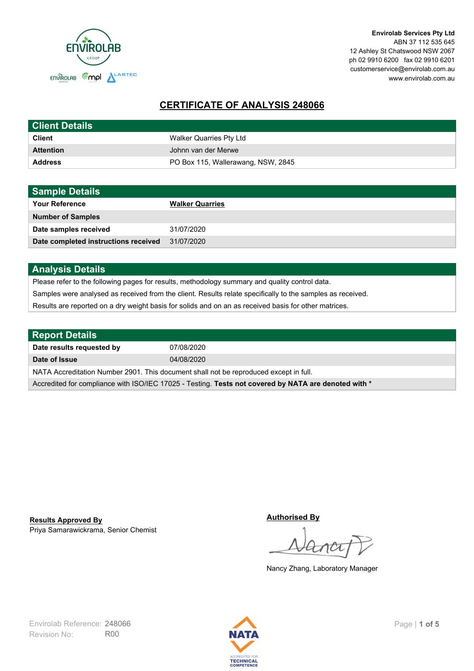

**Envirolab Services Pty Ltd** ABN 37 112 535 645 12 Ashley St Chatswood NSW 2067 ph 02 9910 6200 fax 02 9910 6201 customerservice@envirolab.com.au www.envirolab.com.au

# **CERTIFICATE OF ANALYSIS 248066**

| <b>Client Details</b> |                                    |
|-----------------------|------------------------------------|
| <b>Client</b>         | Walker Quarries Pty Ltd            |
| <b>Attention</b>      | Johnn van der Merwe                |
| <b>Address</b>        | PO Box 115, Wallerawang, NSW, 2845 |

| <b>Sample Details</b>                |                        |
|--------------------------------------|------------------------|
| <b>Your Reference</b>                | <b>Walker Quarries</b> |
| <b>Number of Samples</b>             |                        |
| Date samples received                | 31/07/2020             |
| Date completed instructions received | 31/07/2020             |

### **Analysis Details**

Please refer to the following pages for results, methodology summary and quality control data.

Samples were analysed as received from the client. Results relate specifically to the samples as received.

Results are reported on a dry weight basis for solids and on an as received basis for other matrices.

| <b>Report Details</b>                                                                                |            |  |
|------------------------------------------------------------------------------------------------------|------------|--|
| Date results requested by                                                                            | 07/08/2020 |  |
| Date of Issue                                                                                        | 04/08/2020 |  |
| NATA Accreditation Number 2901. This document shall not be reproduced except in full.                |            |  |
| Accredited for compliance with ISO/IEC 17025 - Testing. Tests not covered by NATA are denoted with * |            |  |

Priya Samarawickrama, Senior Chemist **Results Approved By**

**Authorised By**

Nancy Zhang, Laboratory Manager

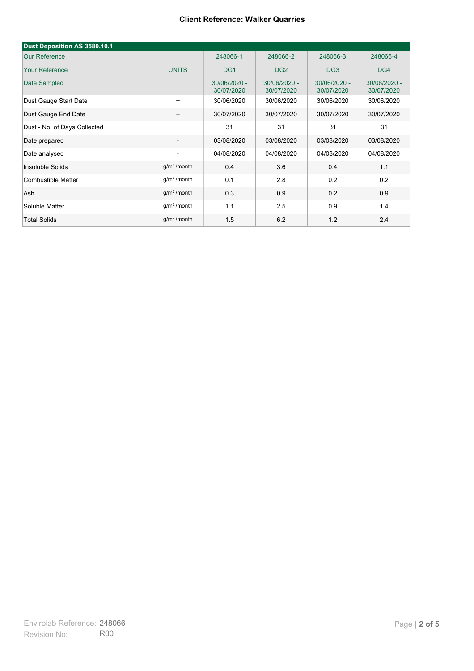| Dust Deposition AS 3580.10.1 |                          |                            |                            |                            |                            |
|------------------------------|--------------------------|----------------------------|----------------------------|----------------------------|----------------------------|
| <b>Our Reference</b>         |                          | 248066-1                   | 248066-2                   | 248066-3                   | 248066-4                   |
| <b>Your Reference</b>        | <b>UNITS</b>             | DG <sub>1</sub>            | DG <sub>2</sub>            | DG <sub>3</sub>            | DG4                        |
| Date Sampled                 |                          | 30/06/2020 -<br>30/07/2020 | 30/06/2020 -<br>30/07/2020 | 30/06/2020 -<br>30/07/2020 | 30/06/2020 -<br>30/07/2020 |
| Dust Gauge Start Date        | $\overline{\phantom{m}}$ | 30/06/2020                 | 30/06/2020                 | 30/06/2020                 | 30/06/2020                 |
| Dust Gauge End Date          | --                       | 30/07/2020                 | 30/07/2020                 | 30/07/2020                 | 30/07/2020                 |
| Dust - No. of Days Collected | --                       | 31                         | 31                         | 31                         | 31                         |
| Date prepared                | $\overline{\phantom{a}}$ | 03/08/2020                 | 03/08/2020                 | 03/08/2020                 | 03/08/2020                 |
| Date analysed                | $\overline{\phantom{a}}$ | 04/08/2020                 | 04/08/2020                 | 04/08/2020                 | 04/08/2020                 |
| Insoluble Solids             | $g/m2$ /month            | 0.4                        | 3.6                        | 0.4                        | 1.1                        |
| Combustible Matter           | g/m <sup>2</sup> /month  | 0.1                        | 2.8                        | 0.2                        | 0.2                        |
| Ash                          | g/m <sup>2</sup> /month  | 0.3                        | 0.9                        | 0.2                        | 0.9                        |
| Soluble Matter               | $g/m2$ /month            | 1.1                        | 2.5                        | 0.9                        | 1.4                        |
| <b>Total Solids</b>          | $q/m2$ /month            | 1.5                        | 6.2                        | 1.2                        | 2.4                        |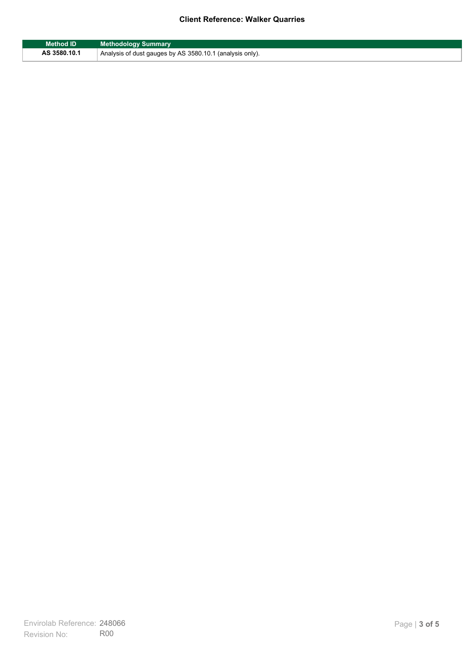| <b>Method ID</b> | <b>Methodology Summary</b>                               |
|------------------|----------------------------------------------------------|
| AS 3580.10.1     | Analysis of dust gauges by AS 3580.10.1 (analysis only). |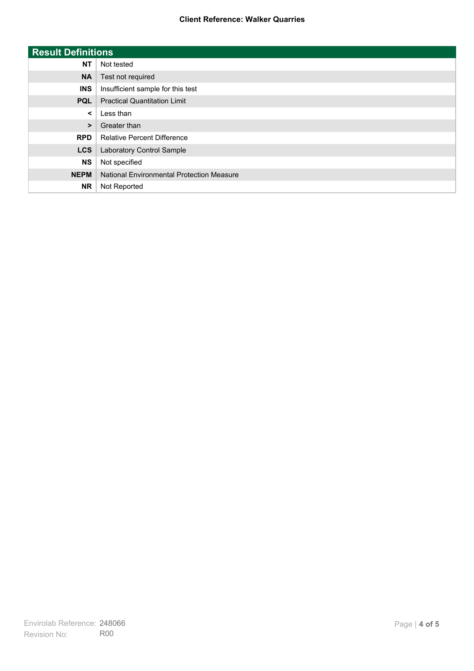| <b>Result Definitions</b> |                                                  |
|---------------------------|--------------------------------------------------|
| <b>NT</b>                 | Not tested                                       |
| <b>NA</b>                 | Test not required                                |
| <b>INS</b>                | Insufficient sample for this test                |
| <b>PQL</b>                | <b>Practical Quantitation Limit</b>              |
| $\checkmark$              | Less than                                        |
| $\geq$                    | Greater than                                     |
| <b>RPD</b>                | <b>Relative Percent Difference</b>               |
| <b>LCS</b>                | Laboratory Control Sample                        |
| <b>NS</b>                 | Not specified                                    |
| <b>NEPM</b>               | <b>National Environmental Protection Measure</b> |
| <b>NR</b>                 | Not Reported                                     |